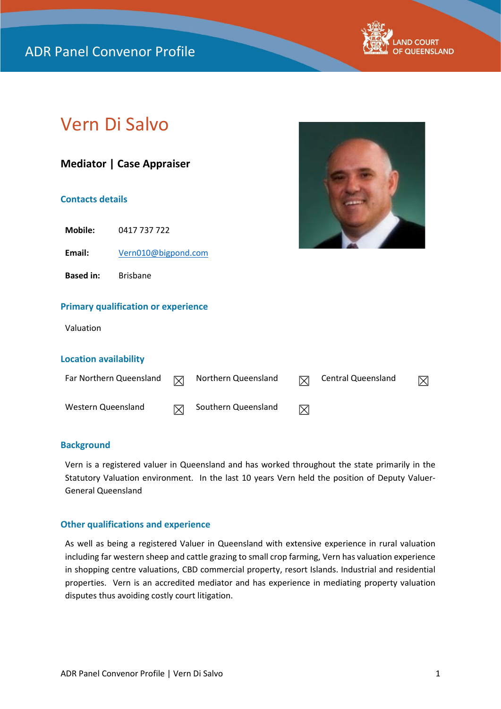

## Vern Di Salvo

# **Mediator | Case Appraiser Contacts details Primary qualification or experience** Valuation **Location availability** Far Northern Queensland  $\boxtimes$  Northern Queensland  $\boxtimes$  Central Queensland  $\boxtimes$ Western Queensland  $\boxtimes$  Southern Queensland  $\boxtimes$ **Mobile:** 0417 737 722 **Email:** [Vern010@bigpond.com](mailto:Vern010@bigpond.com) **Based in:** Brisbane

#### **Background**

Vern is a registered valuer in Queensland and has worked throughout the state primarily in the Statutory Valuation environment. In the last 10 years Vern held the position of Deputy Valuer-General Queensland

#### **Other qualifications and experience**

As well as being a registered Valuer in Queensland with extensive experience in rural valuation including far western sheep and cattle grazing to small crop farming, Vern has valuation experience in shopping centre valuations, CBD commercial property, resort Islands. Industrial and residential properties. Vern is an accredited mediator and has experience in mediating property valuation disputes thus avoiding costly court litigation.